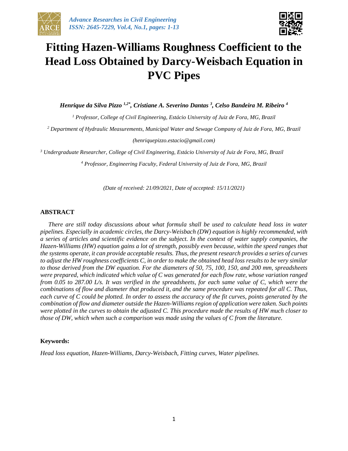



# **Fitting Hazen-Williams Roughness Coefficient to the Head Loss Obtained by Darcy-Weisbach Equation in PVC Pipes**

*Henrique da Silva Pizzo 1,2\* , Cristiane A. Severino Dantas <sup>3</sup> , Celso Bandeira M. Ribeiro <sup>4</sup>*

*<sup>1</sup> Professor, College of Civil Engineering, Estácio University of Juiz de Fora, MG, Brazil*

*<sup>2</sup> Department of Hydraulic Measurements, Municipal Water and Sewage Company of Juiz de Fora, MG, Brazil*

*(henriquepizzo.estacio@gmail.com)*

*<sup>3</sup> Undergraduate Researcher, College of Civil Engineering, Estácio University of Juiz de Fora, MG, Brazil*

*<sup>4</sup> Professor, Engineering Faculty, Federal University of Juiz de Fora, MG, Brazil*

*(Date of received: 21/09/2021, Date of accepted: 15/11/2021)*

#### **ABSTRACT**

*There are still today discussions about what formula shall be used to calculate head loss in water pipelines. Especially in academic circles, the Darcy-Weisbach (DW) equation is highly recommended, with a series of articles and scientific evidence on the subject. In the context of water supply companies, the Hazen-Williams (HW) equation gains a lot of strength, possibly even because, within the speed ranges that the systems operate, it can provide acceptable results. Thus, the present research provides a series of curves to adjust the HW roughness coefficients C, in order to make the obtained head loss results to be very similar to those derived from the DW equation. For the diameters of 50, 75, 100, 150, and 200 mm, spreadsheets were prepared, which indicated which value of C was generated for each flow rate, whose variation ranged from 0.05 to 287.00 L/s. It was verified in the spreadsheets, for each same value of C, which were the combinations of flow and diameter that produced it, and the same procedure was repeated for all C. Thus, each curve of C could be plotted. In order to assess the accuracy of the fit curves, points generated by the combination of flow and diameter outside the Hazen-Williams region of application were taken. Such points were plotted in the curves to obtain the adjusted C. This procedure made the results of HW much closer to those of DW, which when such a comparison was made using the values of C from the literature.*

#### **Keywords:**

*Head loss equation, Hazen-Williams, Darcy-Weisbach, Fitting curves, Water pipelines.*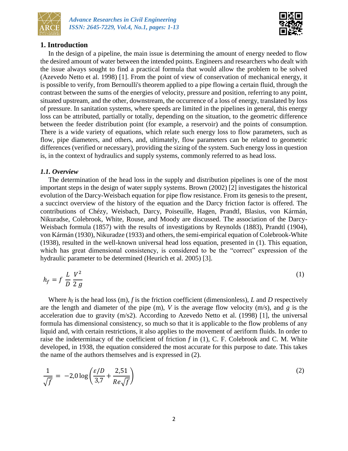



# **1. Introduction**

In the design of a pipeline, the main issue is determining the amount of energy needed to flow the desired amount of water between the intended points. Engineers and researchers who dealt with the issue always sought to find a practical formula that would allow the problem to be solved (Azevedo Netto et al. 1998) [1]. From the point of view of conservation of mechanical energy, it is possible to verify, from Bernoulli's theorem applied to a pipe flowing a certain fluid, through the contrast between the sums of the energies of velocity, pressure and position, referring to any point, situated upstream, and the other, downstream, the occurrence of a loss of energy, translated by loss of pressure. In sanitation systems, where speeds are limited in the pipelines in general, this energy loss can be attributed, partially or totally, depending on the situation, to the geometric difference between the feeder distribution point (for example, a reservoir) and the points of consumption. There is a wide variety of equations, which relate such energy loss to flow parameters, such as flow, pipe diameters, and others, and, ultimately, flow parameters can be related to geometric differences (verified or necessary), providing the sizing of the system. Such energy loss in question is, in the context of hydraulics and supply systems, commonly referred to as head loss.

## *1.1. Overview*

The determination of the head loss in the supply and distribution pipelines is one of the most important steps in the design of water supply systems. Brown (2002) [2] investigates the historical evolution of the Darcy-Weisbach equation for pipe flow resistance. From its genesis to the present, a succinct overview of the history of the equation and the Darcy friction factor is offered. The contributions of Chézy, Weisbach, Darcy, Poiseuille, Hagen, Prandtl, Blasius, von Kármán, Nikuradse, Colebrook, White, Rouse, and Moody are discussed. The association of the Darcy-Weisbach formula (1857) with the results of investigations by Reynolds (1883), Prandtl (1904), von Kármán (1930), Nikuradze (1933) and others, the semi-empirical equation of Colebrook-White (1938), resulted in the well-known universal head loss equation, presented in (1). This equation, which has great dimensional consistency, is considered to be the "correct" expression of the hydraulic parameter to be determined (Heurich et al. 2005) [3].

$$
h_f = f \frac{L}{D} \frac{V^2}{2g} \tag{1}
$$

Where  $h_f$  is the head loss (m),  $f$  is the friction coefficient (dimensionless),  $L$  and  $D$  respectively are the length and diameter of the pipe (m), *V* is the average flow velocity (m/s), and *g* is the acceleration due to gravity (m/s2). According to Azevedo Netto et al. (1998) [1], the universal formula has dimensional consistency, so much so that it is applicable to the flow problems of any liquid and, with certain restrictions, it also applies to the movement of aeriform fluids. In order to raise the indeterminacy of the coefficient of friction *f* in (1), C. F. Colebrook and C. M. White developed, in 1938, the equation considered the most accurate for this purpose to date. This takes the name of the authors themselves and is expressed in (2).

$$
\frac{1}{\sqrt{f}} = -2.0 \log \left( \frac{\varepsilon/D}{3.7} + \frac{2.51}{Re\sqrt{f}} \right)
$$
 (2)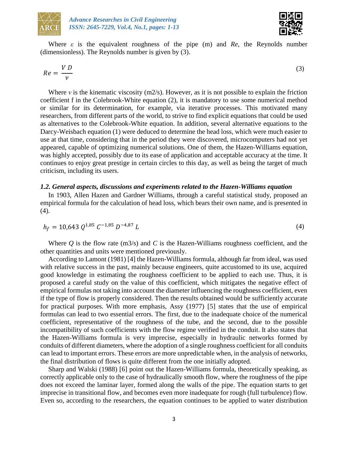



Where *ε* is the equivalent roughness of the pipe (m) and *Re*, the Reynolds number (dimensionless). The Reynolds number is given by (3).

$$
Re = \frac{VD}{\nu} \tag{3}
$$

Where *ν* is the kinematic viscosity (m2/s). However, as it is not possible to explain the friction coefficient f in the Colebrook-White equation (2), it is mandatory to use some numerical method or similar for its determination, for example, via iterative processes. This motivated many researchers, from different parts of the world, to strive to find explicit equations that could be used as alternatives to the Colebrook-White equation. In addition, several alternative equations to the Darcy-Weisbach equation (1) were deduced to determine the head loss, which were much easier to use at that time, considering that in the period they were discovered, microcomputers had not yet appeared, capable of optimizing numerical solutions. One of them, the Hazen-Williams equation, was highly accepted, possibly due to its ease of application and acceptable accuracy at the time. It continues to enjoy great prestige in certain circles to this day, as well as being the target of much criticism, including its users.

#### *1.2. General aspects, discussions and experiments related to the Hazen-Williams equation*

In 1903, Allen Hazen and Gardner Williams, through a careful statistical study, proposed an empirical formula for the calculation of head loss, which bears their own name, and is presented in (4).

$$
h_f = 10,643 \; Q^{1,85} \; C^{-1,85} \; D^{-4,87} \; L \tag{4}
$$

Where  $Q$  is the flow rate (m3/s) and  $C$  is the Hazen-Williams roughness coefficient, and the other quantities and units were mentioned previously.

According to Lamont (1981) [4] the Hazen-Williams formula, although far from ideal, was used with relative success in the past, mainly because engineers, quite accustomed to its use, acquired good knowledge in estimating the roughness coefficient to be applied to each use. Thus, it is proposed a careful study on the value of this coefficient, which mitigates the negative effect of empirical formulas not taking into account the diameter influencing the roughness coefficient, even if the type of flow is properly considered. Then the results obtained would be sufficiently accurate for practical purposes. With more emphasis, Assy (1977) [5] states that the use of empirical formulas can lead to two essential errors. The first, due to the inadequate choice of the numerical coefficient, representative of the roughness of the tube, and the second, due to the possible incompatibility of such coefficients with the flow regime verified in the conduit. It also states that the Hazen-Williams formula is very imprecise, especially in hydraulic networks formed by conduits of different diameters, where the adoption of a single roughness coefficient for all conduits can lead to important errors. These errors are more unpredictable when, in the analysis of networks, the final distribution of flows is quite different from the one initially adopted.

Sharp and Walski (1988) [6] point out the Hazen-Williams formula, theoretically speaking, as correctly applicable only to the case of hydraulically smooth flow, where the roughness of the pipe does not exceed the laminar layer, formed along the walls of the pipe. The equation starts to get imprecise in transitional flow, and becomes even more inadequate for rough (full turbulence) flow. Even so, according to the researchers, the equation continues to be applied to water distribution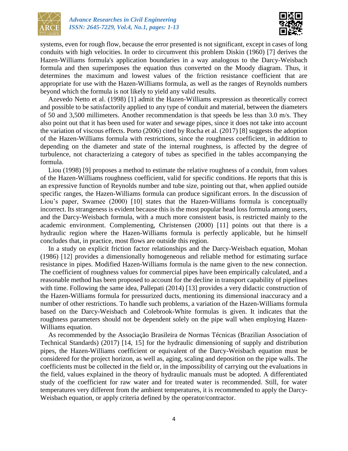



systems, even for rough flow, because the error presented is not significant, except in cases of long conduits with high velocities. In order to circumvent this problem Diskin (1960) [7] derives the Hazen-Williams formula's application boundaries in a way analogous to the Darcy-Weisbach formula and then superimposes the equation thus converted on the Moody diagram. Thus, it determines the maximum and lowest values of the friction resistance coefficient that are appropriate for use with the Hazen-Williams formula, as well as the ranges of Reynolds numbers beyond which the formula is not likely to yield any valid results.

Azevedo Netto et al. (1998) [1] admit the Hazen-Williams expression as theoretically correct and possible to be satisfactorily applied to any type of conduit and material, between the diameters of 50 and 3,500 millimeters. Another recommendation is that speeds be less than 3.0 m/s. They also point out that it has been used for water and sewage pipes, since it does not take into account the variation of viscous effects. Porto (2006) cited by Rocha et al. (2017) [8] suggests the adoption of the Hazen-Williams formula with restrictions, since the roughness coefficient, in addition to depending on the diameter and state of the internal roughness, is affected by the degree of turbulence, not characterizing a category of tubes as specified in the tables accompanying the formula.

Liou (1998) [9] proposes a method to estimate the relative roughness of a conduit, from values of the Hazen-Williams roughness coefficient, valid for specific conditions. He reports that this is an expressive function of Reynolds number and tube size, pointing out that, when applied outside specific ranges, the Hazen-Williams formula can produce significant errors. In the discussion of Liou's paper, Swamee (2000) [10] states that the Hazen-Williams formula is conceptually incorrect. Its strangeness is evident because this is the most popular head loss formula among users, and the Darcy-Weisbach formula, with a much more consistent basis, is restricted mainly to the academic environment. Complementing, Christensen (2000) [11] points out that there is a hydraulic region where the Hazen-Williams formula is perfectly applicable, but he himself concludes that, in practice, most flows are outside this region.

In a study on explicit friction factor relationships and the Darcy-Weisbach equation, Mohan (1986) [12] provides a dimensionally homogeneous and reliable method for estimating surface resistance in pipes. Modified Hazen-Williams formula is the name given to the new connection. The coefficient of roughness values for commercial pipes have been empirically calculated, and a reasonable method has been proposed to account for the decline in transport capability of pipelines with time. Following the same idea, Pallepati (2014) [13] provides a very didactic construction of the Hazen-Williams formula for pressurized ducts, mentioning its dimensional inaccuracy and a number of other restrictions. To handle such problems, a variation of the Hazen-Williams formula based on the Darcy-Weisbach and Colebrook-White formulas is given. It indicates that the roughness parameters should not be dependent solely on the pipe wall when employing Hazen-Williams equation.

As recommended by the Associação Brasileira de Normas Técnicas (Brazilian Association of Technical Standards) (2017) [14, 15] for the hydraulic dimensioning of supply and distribution pipes, the Hazen-Williams coefficient or equivalent of the Darcy-Weisbach equation must be considered for the project horizon, as well as, aging, scaling and deposition on the pipe walls. The coefficients must be collected in the field or, in the impossibility of carrying out the evaluations in the field, values explained in the theory of hydraulic manuals must be adopted. A differentiated study of the coefficient for raw water and for treated water is recommended. Still, for water temperatures very different from the ambient temperatures, it is recommended to apply the Darcy-Weisbach equation, or apply criteria defined by the operator/contractor.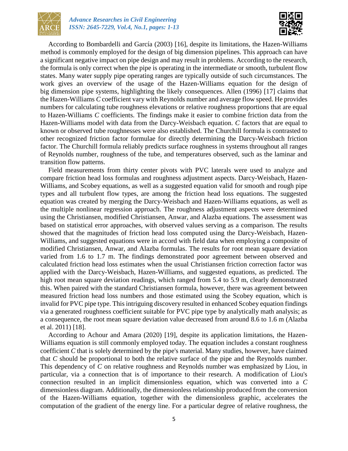



According to Bombardelli and García (2003) [16], despite its limitations, the Hazen-Williams method is commonly employed for the design of big dimension pipelines. This approach can have a significant negative impact on pipe design and may result in problems. According to the research, the formula is only correct when the pipe is operating in the intermediate or smooth, turbulent flow states. Many water supply pipe operating ranges are typically outside of such circumstances. The work gives an overview of the usage of the Hazen-Williams equation for the design of big dimension pipe systems, highlighting the likely consequences. Allen (1996) [17] claims that the Hazen-Williams *C* coefficient vary with Reynolds number and average flow speed. He provides numbers for calculating tube roughness elevations or relative roughness proportions that are equal to Hazen-Williams *C* coefficients. The findings make it easier to combine friction data from the Hazen-Williams model with data from the Darcy-Weisbach equation. *C* factors that are equal to known or observed tube roughnesses were also established. The Churchill formula is contrasted to other recognized friction factor formulae for directly determining the Darcy-Weisbach friction factor. The Churchill formula reliably predicts surface roughness in systems throughout all ranges of Reynolds number, roughness of the tube, and temperatures observed, such as the laminar and transition flow patterns.

Field measurements from thirty center pivots with PVC laterals were used to analyze and compare friction head loss formulas and roughness adjustment aspects. Darcy-Weisbach, Hazen-Williams, and Scobey equations, as well as a suggested equation valid for smooth and rough pipe types and all turbulent flow types, are among the friction head loss equations. The suggested equation was created by merging the Darcy-Weisbach and Hazen-Williams equations, as well as the multiple nonlinear regression approach. The roughness adjustment aspects were determined using the Christiansen, modified Christiansen, Anwar, and Alazba equations. The assessment was based on statistical error approaches, with observed values serving as a comparison. The results showed that the magnitudes of friction head loss computed using the Darcy-Weisbach, Hazen-Williams, and suggested equations were in accord with field data when employing a composite of modified Christiansen, Anwar, and Alazba formulas. The results for root mean square deviation varied from 1.6 to 1.7 m. The findings demonstrated poor agreement between observed and calculated friction head loss estimates when the usual Christiansen friction correction factor was applied with the Darcy-Weisbach, Hazen-Williams, and suggested equations, as predicted. The high root mean square deviation readings, which ranged from 5.4 to 5.9 m, clearly demonstrated this. When paired with the standard Christiansen formula, however, there was agreement between measured friction head loss numbers and those estimated using the Scobey equation, which is invalid for PVC pipe type. This intriguing discovery resulted in enhanced Scobey equation findings via a generated roughness coefficient suitable for PVC pipe type by analytically math analysis; as a consequence, the root mean square deviation value decreased from around 8.6 to 1.6 m (Alazba et al. 2011) [18].

According to Achour and Amara (2020) [19], despite its application limitations, the Hazen-Williams equation is still commonly employed today. The equation includes a constant roughness coefficient *C* that is solely determined by the pipe's material. Many studies, however, have claimed that *C* should be proportional to both the relative surface of the pipe and the Reynolds number. This dependency of *C* on relative roughness and Reynolds number was emphasized by Liou, in particular, via a connection that is of importance to their research. A modification of Liou's connection resulted in an implicit dimensionless equation, which was converted into a *C* dimensionless diagram. Additionally, the dimensionless relationship produced from the conversion of the Hazen-Williams equation, together with the dimensionless graphic, accelerates the computation of the gradient of the energy line. For a particular degree of relative roughness, the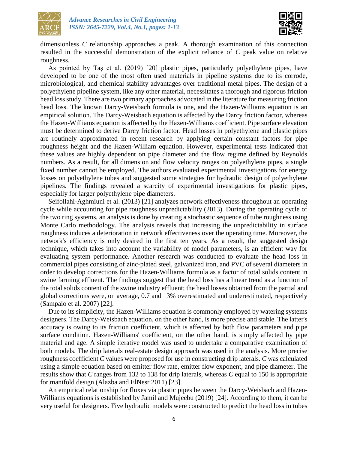



dimensionless *C* relationship approaches a peak. A thorough examination of this connection resulted in the successful demonstration of the explicit reliance of *C* peak value on relative roughness.

As pointed by Taş et al. (2019) [20] plastic pipes, particularly polyethylene pipes, have developed to be one of the most often used materials in pipeline systems due to its corrode, microbiological, and chemical stability advantages over traditional metal pipes. The design of a polyethylene pipeline system, like any other material, necessitates a thorough and rigorous friction head loss study. There are two primary approaches advocated in the literature for measuring friction head loss. The known Darcy-Weisbach formula is one, and the Hazen-Williams equation is an empirical solution. The Darcy-Weisbach equation is affected by the Darcy friction factor, whereas the Hazen-Williams equation is affected by the Hazen-Williams coefficient. Pipe surface elevation must be determined to derive Darcy friction factor. Head losses in polyethylene and plastic pipes are routinely approximated in recent research by applying certain constant factors for pipe roughness height and the Hazen-William equation. However, experimental tests indicated that these values are highly dependent on pipe diameter and the flow regime defined by Reynolds numbers. As a result, for all dimension and flow velocity ranges on polyethylene pipes, a single fixed number cannot be employed. The authors evaluated experimental investigations for energy losses on polyethylene tubes and suggested some strategies for hydraulic design of polyethylene pipelines. The findings revealed a scarcity of experimental investigations for plastic pipes, especially for larger polyethylene pipe diameters.

Seifollahi-Aghmiuni et al. (2013) [21] analyzes network effectiveness throughout an operating cycle while accounting for pipe roughness unpredictability (2013). During the operating cycle of the two ring systems, an analysis is done by creating a stochastic sequence of tube roughness using Monte Carlo methodology. The analysis reveals that increasing the unpredictability in surface roughness induces a deterioration in network effectiveness over the operating time. Moreover, the network's efficiency is only desired in the first ten years. As a result, the suggested design technique, which takes into account the variability of model parameters, is an efficient way for evaluating system performance. Another research was conducted to evaluate the head loss in commercial pipes consisting of zinc-plated steel, galvanized iron, and PVC of several diameters in order to develop corrections for the Hazen-Williams formula as a factor of total solids content in swine farming effluent. The findings suggest that the head loss has a linear trend as a function of the total solids content of the swine industry effluent; the head losses obtained from the partial and global corrections were, on average, 0.7 and 13% overestimated and underestimated, respectively (Sampaio et al. 2007) [22].

Due to its simplicity, the Hazen-Williams equation is commonly employed by watering systems designers. The Darcy-Weisbach equation, on the other hand, is more precise and stable. The latter's accuracy is owing to its friction coefficient, which is affected by both flow parameters and pipe surface condition. Hazen-Williams' coefficient, on the other hand, is simply affected by pipe material and age. A simple iterative model was used to undertake a comparative examination of both models. The drip laterals real-estate design approach was used in the analysis. More precise roughness coefficient *C* values were proposed for use in constructing drip laterals. *C* was calculated using a simple equation based on emitter flow rate, emitter flow exponent, and pipe diameter. The results show that *C* ranges from 132 to 138 for drip laterals, whereas *C* equal to 150 is appropriate for manifold design (Alazba and ElNesr 2011) [23].

An empirical relationship for fluxes via plastic pipes between the Darcy-Weisbach and Hazen-Williams equations is established by Jamil and Mujeebu (2019) [24]. According to them, it can be very useful for designers. Five hydraulic models were constructed to predict the head loss in tubes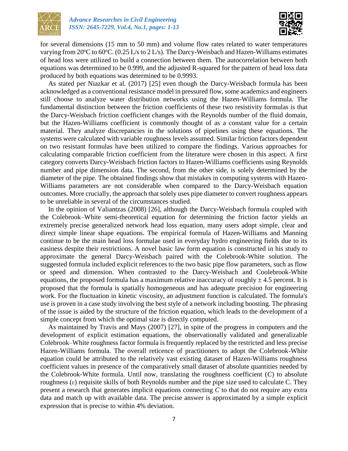



for several dimensions (15 mm to 50 mm) and volume flow rates related to water temperatures varying from 20 $\degree$ C to 60 $\degree$ C. (0.25 L/s to 2 L/s). The Darcy-Weisbach and Hazen-Williams estimates of head loss were utilized to build a connection between them. The autocorrelation between both equations was determined to be 0.999, and the adjusted R-squared for the pattern of head loss data produced by both equations was determined to be 0.9993.

As stated per Niazkar et al. (2017) [25] even though the Darcy-Weisbach formula has been acknowledged as a conventional resistance model in pressured flow, some academics and engineers still choose to analyze water distribution networks using the Hazen-Williams formula. The fundamental distinction between the friction coefficients of these two resistivity formulas is that the Darcy-Weisbach friction coefficient changes with the Reynolds number of the fluid domain, but the Hazen-Williams coefficient is commonly thought of as a constant value for a certain material. They analyze discrepancies in the solutions of pipelines using these equations. The systems were calculated with variable roughness levels assumed. Similar friction factors dependent on two resistant formulas have been utilized to compare the findings. Various approaches for calculating comparable friction coefficient from the literature were chosen in this aspect. A first category converts Darcy-Weisbach friction factors to Hazen-Williams coefficients using Reynolds number and pipe dimension data. The second, from the other side, is solely determined by the diameter of the pipe. The obtained findings show that mistakes in computing systems with Hazen-Williams parameters are not considerable when compared to the Darcy-Weisbach equation outcomes. More crucially, the approach that solely uses pipe diameter to convert roughness appears to be unreliable in several of the circumstances studied.

In the opinion of Valiantzas (2008) [26], although the Darcy-Weisbach formula coupled with the Colebrook–White semi-theoretical equation for determining the friction factor yields an extremely precise generalized network head loss equation, many users adopt simple, clear and direct simple linear shape equations. The empirical formula of Hazen-Williams and Manning continue to be the main head loss formulae used in everyday hydro engineering fields due to its easiness despite their restrictions. A novel basic law form equation is constructed in his study to approximate the general Darcy-Weisbach paired with the Colebrook-White solution. The suggested formula included explicit references to the two basic pipe flow parameters, such as flow or speed and dimension. When contrasted to the Darcy-Weisbach and Coolebrook-White equations, the proposed formula has a maximum relative inaccuracy of roughly  $\pm$  4.5 percent. It is proposed that the formula is spatially homogeneous and has adequate precision for engineering work. For the fluctuation in kinetic viscosity, an adjustment function is calculated. The formula's use is proven in a case study involving the best style of a network including boosting. The phrasing of the issue is aided by the structure of the friction equation, which leads to the development of a simple concept from which the optimal size is directly computed.

As maintained by Travis and Mays (2007) [27], in spite of the progress in computers and the development of explicit estimation equations, the observationally validated and generalizable Colebrook–White roughness factor formula is frequently replaced by the restricted and less precise Hazen-Williams formula. The overall reticence of practitioners to adopt the Colebrook-White equation could be attributed to the relatively vast existing dataset of Hazen-Williams roughness coefficient values in presence of the comparatively small dataset of absolute quantities needed by the Colebrook-White formula. Until now, translating the roughness coefficient (*C*) to absolute roughness (*ε*) requisite skills of both Reynolds number and the pipe size used to calculate C. They present a research that generates implicit equations connecting *C* to that do not require any extra data and match up with available data. The precise answer is approximated by a simple explicit expression that is precise to within 4% deviation.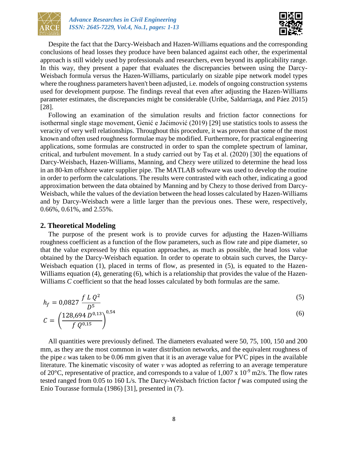



Despite the fact that the Darcy-Weisbach and Hazen-Williams equations and the corresponding conclusions of head losses they produce have been balanced against each other, the experimental approach is still widely used by professionals and researchers, even beyond its applicability range. In this way, they present a paper that evaluates the discrepancies between using the Darcy-Weisbach formula versus the Hazen-Williams, particularly on sizable pipe network model types where the roughness parameters haven't been adjusted, i.e. models of ongoing construction systems used for development purpose. The findings reveal that even after adjusting the Hazen-Williams parameter estimates, the discrepancies might be considerable (Uribe, Saldarriaga, and Páez 2015) [28].

Following an examination of the simulation results and friction factor connections for isothermal single stage movement, Genić e Jaćimović (2019) [29] use statistics tools to assess the veracity of very well relationships. Throughout this procedure, it was proven that some of the most known and often used roughness formulae may be modified. Furthermore, for practical engineering applications, some formulas are constructed in order to span the complete spectrum of laminar, critical, and turbulent movement. In a study carried out by Taş et al. (2020) [30] the equations of Darcy-Weisbach, Hazen-Williams, Manning, and Chezy were utilized to determine the head loss in an 80-km offshore water supplier pipe. The MATLAB software was used to develop the routine in order to perform the calculations. The results were contrasted with each other, indicating a good approximation between the data obtained by Manning and by Chezy to those derived from Darcy-Weisbach, while the values of the deviation between the head losses calculated by Hazen-Williams and by Darcy-Weisbach were a little larger than the previous ones. These were, respectively, 0.66%, 0.61%, and 2.55%.

#### **2. Theoretical Modeling**

The purpose of the present work is to provide curves for adjusting the Hazen-Williams roughness coefficient as a function of the flow parameters, such as flow rate and pipe diameter, so that the value expressed by this equation approaches, as much as possible, the head loss value obtained by the Darcy-Weisbach equation. In order to operate to obtain such curves, the Darcy-Weisbach equation (1), placed in terms of flow, as presented in (5), is equated to the Hazen-Williams equation (4), generating (6), which is a relationship that provides the value of the Hazen-Williams *C* coefficient so that the head losses calculated by both formulas are the same.

$$
h_f = 0,0827 \frac{f L Q^2}{D^5}
$$
  

$$
C = \left(\frac{128,694 D^{0,13}}{f Q^{0,15}}\right)^{0,54}
$$
 (6)

All quantities were previously defined. The diameters evaluated were 50, 75, 100, 150 and 200 mm, as they are the most common in water distribution networks, and the equivalent roughness of the pipe *ε* was taken to be 0.06 mm given that it is an average value for PVC pipes in the available literature. The kinematic viscosity of water *ν* was adopted as referring to an average temperature of 20 $^{\circ}$ C, representative of practice, and corresponds to a value of 1,007 x 10<sup>-9</sup> m2/s. The flow rates tested ranged from 0.05 to 160 L/s. The Darcy-Weisbach friction factor *f* was computed using the Enio Tourasse formula (1986) [31], presented in (7).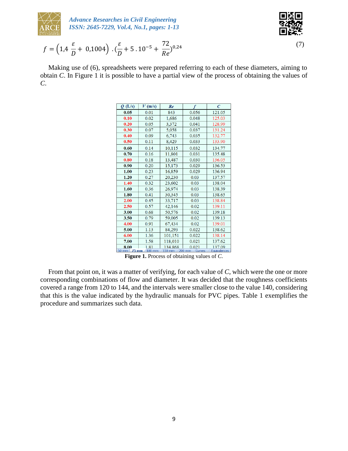

*Advance Researches in Civil Engineering ISSN: 2645-7229, Vol.4, No.1, pages: 1-13*

$$
\begin{matrix} 0.00000 \\ 0.0000 \\ 0.0000 \end{matrix}
$$

$$
f = \left(1, 4\frac{\varepsilon}{D} + 0, 1004\right) \cdot \left(\frac{\varepsilon}{D} + 5, 10^{-5} + \frac{72}{Re}\right)^{0.24} \tag{7}
$$

Making use of (6), spreadsheets were prepared referring to each of these diameters, aiming to obtain *C*. In Figure 1 it is possible to have a partial view of the process of obtaining the values of *C*.

| Q(L/s)                   | $V$ (m/s) | Re                              |       | Ċ                   |
|--------------------------|-----------|---------------------------------|-------|---------------------|
| 0.05                     | 0.01      | 843                             | 0.056 | 121.05              |
| 0.10                     | 0.02      | 1,686                           | 0.048 | 125.03              |
| 0.20                     | 0.05      | 3,372                           | 0.041 | 128.99              |
| 0.30                     | 0.07      | 5,058                           | 0.037 | 131.24              |
| 0.40                     | 0.09      | 6,743                           | 0.035 | 132.77              |
| 0.50                     | 0.11      | 8,429                           | 0.033 | 133.90              |
| 0.60                     | 0.14      | 10,115                          | 0.032 | 134.77              |
| 0.70                     | 0.16      | 11,801                          | 0.031 | 135.48              |
| 0.80                     | 0.18      | 13,487                          | 0.030 | 136.05              |
| 0.90                     | 0.20      | 15,173                          | 0.029 | 136.53              |
| 1.00                     | 0.23      | 16,859                          | 0.029 | 136.94              |
| 1.20                     | 0.27      | 20,230                          | 0.03  | 137.57              |
| 1.40                     | 0.32      | 23,602                          | 0.03  | 138.04              |
| 1.60                     | 0.36      | 26,974                          | 0.03  | 138.39              |
| 1.80                     | 0.41      | 30,345                          | 0.03  | 138.65              |
| 2.00                     | 0.45      | 33,717                          | 0.03  | 138.84              |
| 2.50                     | 0.57      | 42,146                          | 0.02  | 139.11              |
| 3.00                     | 0.68      | 50,576                          | 0.02  | 139.18              |
| 3.50                     | 0.79      | 59,005                          | 0.02  | 139.13              |
| 4.00                     | 0.91      | 67,434                          | 0.02  | 139.01              |
| 5.00                     | 1.13      | 84,293                          | 0.022 | 138.62              |
| 6.00                     | 1.36      | 101,151                         | 0.022 | 138.14              |
| 7.00                     | 1.58      | 118,010                         | 0.021 | 137.62              |
| 8.00<br>$E_{\rm O, max}$ | 1.81      | 134.868<br>$150 \, \mathrm{mm}$ | 0.021 | 137.09<br>Earthuail |

**Figure 1.** Process of obtaining values of *C*.

From that point on, it was a matter of verifying, for each value of *C*, which were the one or more corresponding combinations of flow and diameter. It was decided that the roughness coefficients covered a range from 120 to 144, and the intervals were smaller close to the value 140, considering that this is the value indicated by the hydraulic manuals for PVC pipes. Table 1 exemplifies the procedure and summarizes such data.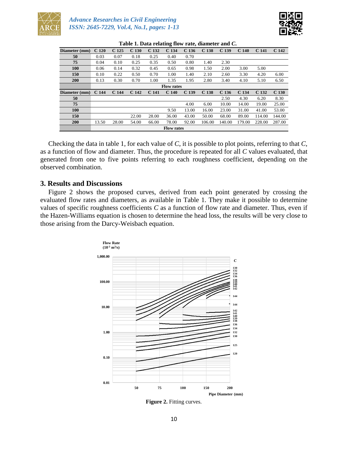



| Diameter (mm)     | C <sub>120</sub> | C <sub>125</sub> | C <sub>130</sub> | C <sub>132</sub> | 0<br>C <sub>134</sub> | C <sub>136</sub> | C <sub>138</sub> | C <sub>139</sub> | C <sub>140</sub> | C <sub>141</sub> | C <sub>142</sub> |
|-------------------|------------------|------------------|------------------|------------------|-----------------------|------------------|------------------|------------------|------------------|------------------|------------------|
| 50                | 0.03             | 0.07             | 0.18             | 0.25             | 0.40                  | 0.70             |                  |                  |                  |                  |                  |
| 75                | 0.04             | 0.10             | 0.25             | 0.35             | 0.50                  | 0.80             | 1.40             | 2.30             |                  |                  |                  |
| <b>100</b>        | 0.06             | 0.14             | 0.32             | 0.45             | 0.65                  | 0.98             | 1.50             | 2.00             | 3.00             | 5.00             |                  |
| 150               | 0.10             | 0.22             | 0.50             | 0.70             | 1.00                  | 1.40             | 2.10             | 2.60             | 3.30             | 4.20             | 6.00             |
| <b>200</b>        | 0.13             | 0.30             | 0.70             | 1.00             | 1.35                  | 1.95             | 2.80             | 3.40             | 4.10             | 5.10             | 6.50             |
|                   |                  |                  |                  |                  | <b>Flow rates</b>     |                  |                  |                  |                  |                  |                  |
| Diameter (mm)     | C <sub>144</sub> | C <sub>144</sub> | C <sub>142</sub> | C <sub>141</sub> | C <sub>140</sub>      | C <sub>139</sub> | C <sub>138</sub> | C <sub>136</sub> | C <sub>134</sub> | C <sub>132</sub> | C <sub>130</sub> |
| 50                |                  |                  |                  |                  |                       |                  |                  | 2.50             | 4.30             | 6.20             | 8.30             |
| 75                |                  |                  |                  |                  |                       | 4.00             | 6.00             | 10.00            | 14.00            | 19.00            | 25.00            |
| <b>100</b>        |                  |                  |                  |                  | 9.50                  | 13.00            | 16.00            | 23.00            | 31.00            | 41.00            | 53.00            |
| 150               |                  |                  | 22.00            | 28.00            | 36.00                 | 43.00            | 50.00            | 68.00            | 89.00            | 114.00           | 144.00           |
| <b>200</b>        | 13.50            | 28.00            | 54.00            | 66.00            | 78.00                 | 92.00            | 106.00           | 140.00           | 179.00           | 228.00           | 287.00           |
| <b>Flow rates</b> |                  |                  |                  |                  |                       |                  |                  |                  |                  |                  |                  |

**Table 1. Data relating flow rate, diameter and** *C***.**

Checking the data in table 1, for each value of *C*, it is possible to plot points, referring to that *C*, as a function of flow and diameter. Thus, the procedure is repeated for all *C* values evaluated, that generated from one to five points referring to each roughness coefficient, depending on the observed combination.

### **3. Results and Discussions**

Figure 2 shows the proposed curves, derived from each point generated by crossing the evaluated flow rates and diameters, as available in Table 1. They make it possible to determine values of specific roughness coefficients *C* as a function of flow rate and diameter. Thus, even if the Hazen-Williams equation is chosen to determine the head loss, the results will be very close to those arising from the Darcy-Weisbach equation.



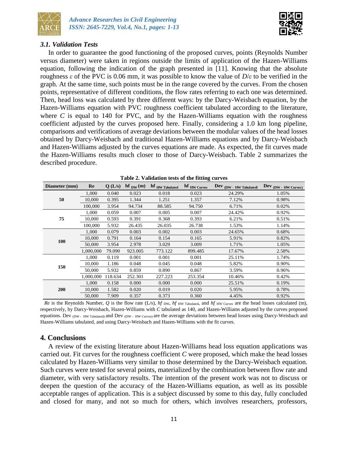



## *3.1. Validation Tests*

In order to guarantee the good functioning of the proposed curves, points (Reynolds Number versus diameter) were taken in regions outside the limits of application of the Hazen-Williams equation, following the indication of the graph presented in [11]. Knowing that the absolute roughness *ε* of the PVC is 0.06 mm, it was possible to know the value of *D*/*ε* to be verified in the graph. At the same time, such points must be in the range covered by the curves. From the chosen points, representative of different conditions, the flow rates referring to each one was determined. Then, head loss was calculated by three different ways: by the Darcy-Weisbach equation, by the Hazen-Williams equation with PVC roughness coefficient tabulated according to the literature, where  $C$  is equal to 140 for PVC, and by the Hazen-Williams equation with the roughness coefficient adjusted by the curves proposed here. Finally, considering a 1.0 km long pipeline, comparisons and verifications of average deviations between the modular values of the head losses obtained by Darcy-Weisbach and traditional Hazen-Williams equations and by Darcy-Weisbach and Hazen-Williams adjusted by the curves equations are made. As expected, the fit curves made the Hazen-Williams results much closer to those of Darcy-Weisbach. Table 2 summarizes the described procedure.

| Diameter (mm) | Re        | Q(L/s)  | $\mathbf{hf}_{\mathbf{DW}}(\mathbf{m})$ | hf HW Tabulated | hf HW Curves | Dev (DW - HW Tabulated) | Dev (DW - HW Curves) |
|---------------|-----------|---------|-----------------------------------------|-----------------|--------------|-------------------------|----------------------|
| 50            | 1.000     | 0.040   | 0.023                                   | 0.018           | 0.023        | 24.29%                  | 1.05%                |
|               | 10,000    | 0.395   | 1.344                                   | 1.251           | 1.357        | 7.12%                   | 0.98%                |
|               | 100,000   | 3.954   | 94.734                                  | 88.585          | 94.750       | 6.71%                   | 0.02%                |
|               | 1.000     | 0.059   | 0.007                                   | 0.005           | 0.007        | 24.42%                  | 0.92%                |
| 75            | 10,000    | 0.593   | 0.391                                   | 0.368           | 0.393        | 6.21%                   | 0.51%                |
|               | 100,000   | 5.932   | 26.435                                  | 26.035          | 26.738       | 1.53%                   | 1.14%                |
| 100           | 1,000     | 0.079   | 0.003                                   | 0.002           | 0.003        | 24.65%                  | 0.68%                |
|               | 10,000    | 0.791   | 0.164                                   | 0.154           | 0.165        | 5.91%                   | 0.82%                |
|               | 50,000    | 3.954   | 2.978                                   | 3.029           | 3.009        | 1.71%                   | 1.05%                |
|               | 1,000,000 | 79.090  | 923.005                                 | 773.122         | 899.485      | 17.67%                  | 2.58%                |
| 150           | 1,000     | 0.119   | 0.001                                   | 0.001           | 0.001        | 25.11%                  | 1.74%                |
|               | 10,000    | 1.186   | 0.048                                   | 0.045           | 0.048        | 5.82%                   | 0.90%                |
|               | 50,000    | 5.932   | 0.859                                   | 0.890           | 0.867        | 3.59%                   | 0.96%                |
|               | 1,000,000 | 118.634 | 252.301                                 | 227.223         | 253.354      | 10.46%                  | 0.42%                |
| <b>200</b>    | 1.000     | 0.158   | 0.000                                   | 0.000           | 0.000        | 25.51%                  | 0.19%                |
|               | 10,000    | 1.582   | 0.020                                   | 0.019           | 0.020        | 5.95%                   | 0.78%                |
|               | 50,000    | 7.909   | 0.357                                   | 0.373           | 0.360        | 4.45%                   | 0.92%                |

|  | Table 2. Validation tests of the fitting curves |  |  |  |  |
|--|-------------------------------------------------|--|--|--|--|
|--|-------------------------------------------------|--|--|--|--|

*Re* is the Reynolds Number,  $Q$  is the flow rate (L/s), *hf* DW, *hf* HW Tabulated, and *hf* HW Curves are the head losses calculated (m), respectively, by Darcy-Weisbach, Hazen-Williams with *C* tabulated as 140, and Hazen-Williams adjusted by the curves proposed equations. Dev (DW - HW Tabulated) and Dev (DW - HW Curves) are the average deviations between head losses using Darcy-Weisbach and Hazen-Williams tabulated, and using Darcy-Weisbach and Hazen-Williams with the fit curves.

# **4. Conclusions**

A review of the existing literature about Hazen-Williams head loss equation applications was carried out. Fit curves for the roughness coefficient *C* were proposed, which make the head losses calculated by Hazen-Williams very similar to those determined by the Darcy-Weisbach equation. Such curves were tested for several points, materialized by the combination between flow rate and diameter, with very satisfactory results. The intention of the present work was not to discuss or deepen the question of the accuracy of the Hazen-Williams equation, as well as its possible acceptable ranges of application. This is a subject discussed by some to this day, fully concluded and closed for many, and not so much for others, which involves researchers, professors,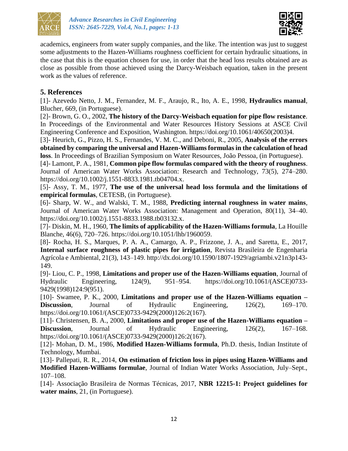



academics, engineers from water supply companies, and the like. The intention was just to suggest some adjustments to the Hazen-Williams roughness coefficient for certain hydraulic situations, in the case that this is the equation chosen for use, in order that the head loss results obtained are as close as possible from those achieved using the Darcy-Weisbach equation, taken in the present work as the values of reference.

# **5. References**

[1]- Azevedo Netto, J. M., Fernandez, M. F., Araujo, R., Ito, A. E., 1998, **Hydraulics manual**, Blucher, 669, (in Portuguese).

[2]- Brown, G. O., 2002, **The history of the Darcy-Weisbach equation for pipe flow resistance**. In Proceedings of the Environmental and Water Resources History Sessions at ASCE Civil Engineering Conference and Exposition, Washington. https://doi.org/10.1061/40650(2003)4.

[3]- Heurich, G., Pizzo, H. S., Fernandes, V. M. C., and Deboni, R., 2005, **Analysis of the errors obtained by comparing the universal and Hazen-Williams formulas in the calculation of head loss**. In Proceedings of Brazilian Symposium on Water Resources, João Pessoa, (in Portuguese).

[4]- Lamont, P. A., 1981, **Common pipe flow formulas compared with the theory of roughness**. Journal of American Water Works Association: Research and Technology, 73(5), 274–280. https://doi.org/10.1002/j.1551-8833.1981.tb04704.x.

[5]- Assy, T. M., 1977, **The use of the universal head loss formula and the limitations of empirical formulas**, CETESB, (in Portuguese).

[6]- Sharp, W. W., and Walski, T. M., 1988, **Predicting internal roughness in water mains**, Journal of American Water Works Association: Management and Operation, 80(11), 34–40. https://doi.org/10.1002/j.1551-8833.1988.tb03132.x.

[7]- Diskin, M. H., 1960, **The limits of applicability of the Hazen-Williams formula**, La Houille Blanche, 46(6), 720–726. https://doi.org/10.1051/lhb/1960059.

[8]- Rocha, H. S., Marques, P. A. A., Camargo, A. P., Frizzone, J. A., and Saretta, E., 2017, **Internal surface roughness of plastic pipes for irrigation**, Revista Brasileira de Engenharia Agrícola e Ambiental, 21(3), 143–149. http://dx.doi.org/10.1590/1807-1929/agriambi.v21n3p143- 149.

[9]- Liou, C. P., 1998, **Limitations and proper use of the Hazen-Williams equation**, Journal of Hydraulic Engineering, 124(9), 951–954. https://doi.org/10.1061/(ASCE)0733- 9429(1998)124:9(951).

[10]- Swamee, P. K., 2000, **Limitations and proper use of the Hazen-Williams equation – Discussion,** Journal of Hydraulic Engineering, 126(2), 169–170. https://doi.org/10.1061/(ASCE)0733-9429(2000)126:2(167).

[11]- Christensen, B. A., 2000, **Limitations and proper use of the Hazen-Williams equation – Discussion**, Journal of Hydraulic Engineering, 126(2), 167–168. https://doi.org/10.1061/(ASCE)0733-9429(2000)126:2(167).

[12]- Mohan, D. M., 1986, **Modified Hazen-Williams formula**, Ph.D. thesis, Indian Institute of Technology, Mumbai.

[13]- Pallepati, R. R., 2014, **On estimation of friction loss in pipes using Hazen-Williams and Modified Hazen-Williams formulae**, Journal of Indian Water Works Association, July–Sept., 107–108.

[14]- Associação Brasileira de Normas Técnicas, 2017, **NBR 12215-1: Project guidelines for water mains**, 21, (in Portuguese).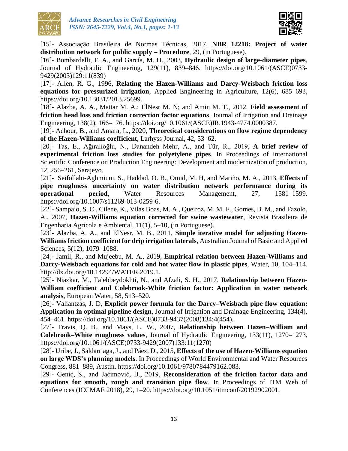



[15]- Associação Brasileira de Normas Técnicas, 2017, **NBR 12218: Project of water distribution network for public supply – Procedure**, 29, (in Portuguese).

[16]- Bombardelli, F. A., and García, M. H., 2003, **Hydraulic design of large-diameter pipes**, Journal of Hydraulic Engineering, 129(11), 839–846. https://doi.org/10.1061/(ASCE)0733- 9429(2003)129:11(839)

[17]- Allen, R. G., 1996, **Relating the Hazen-Williams and Darcy-Weisbach friction loss equations for pressurized irrigation**, Applied Engineering in Agriculture, 12(6), 685–693, https://doi.org/10.13031/2013.25699.

[18]- Alazba, A. A., Mattar M. A.; ElNesr M. N; and Amin M. T., 2012, **Field assessment of friction head loss and friction correction factor equations**, Journal of Irrigation and Drainage Engineering, 138(2), 166–176. https://doi.org/10.1061/(ASCE)IR.1943-4774.0000387.

[19]- Achour, B., and Amara, L., 2020, **Theoretical considerations on flow regime dependency of the Hazen-Williams coefficient**, Larhyss Journal, 42, 53–62.

[20]- Taş, E., Ağıralioğlu, N., Danandeh Mehr, A., and Tür, R., 2019, **A brief review of experimental friction loss studies for polyetylene pipes**. In Proceedings of International Scientific Conference on Production Engineering: Development and modernization of production, 12, 256–261, Sarajevo.

[21]- Seifollahi-Aghmiuni, S., Haddad, O. B., Omid, M. H, and Mariño, M. A., 2013, **Effects of pipe roughness uncertainty on water distribution network performance during its operational period**, Water Resources Management, 27, 1581–1599. https://doi.org/10.1007/s11269-013-0259-6.

[22]- Sampaio, S. C., Cilene, K., Vilas Boas, M. A., Queiroz, M. M. F., Gomes, B. M., and Fazolo, A., 2007, **Hazen-Williams equation corrected for swine wastewater**, Revista Brasileira de Engenharia Agrícola e Ambiental, 11(1), 5–10, (in Portuguese).

[23]- Alazba, A. A., and ElNesr, M. B., 2011, **Simple iterative model for adjusting Hazen-Williams friction coefficient for drip irrigation laterals**, Australian Journal of Basic and Applied Sciences, 5(12), 1079–1088.

[24]- Jamil, R., and Mujeebu, M. A., 2019, **Empirical relation between Hazen-Williams and Darcy-Weisbach equations for cold and hot water flow in plastic pipes**, Water, 10, 104–114. http://dx.doi.org/10.14294/WATER.2019.1.

[25]- Niazkar, M., Talebbeydokhti, N., and Afzali, S. H., 2017, **Relationship between Hazen-William coefficient and Colebrook-White friction factor: Application in water network analysis**, European Water, 58, 513–520.

[26]- Valiantzas, J. D, **Explicit power formula for the Darcy–Weisbach pipe flow equation: Application in optimal pipeline design**, Journal of Irrigation and Drainage Engineering, 134(4), 454–461. https://doi.org/10.1061/(ASCE)0733-9437(2008)134:4(454).

[27]- Travis, Q. B., and Mays, L. W., 2007, **Relationship between Hazen–William and Colebrook–White roughness values**, Journal of Hydraulic Engineering, 133(11), 1270–1273, https://doi.org/10.1061/(ASCE)0733-9429(2007)133:11(1270)

[28]- Uribe, J., Saldarriaga, J., and Páez, D., 2015, **Effects of the use of Hazen-Williams equation on large WDS's planning models**. In Proceedings of World Environmental and Water Resources Congress, 881–889, Austin. https://doi.org/10.1061/9780784479162.083.

[29]- Genić, S., and Jaćimović, B., 2019, **Reconsideration of the friction factor data and equations for smooth, rough and transition pipe flow**. In Proceedings of ITM Web of Conferences (ICCMAE 2018), 29, 1–20. https://doi.org/10.1051/itmconf/20192902001.